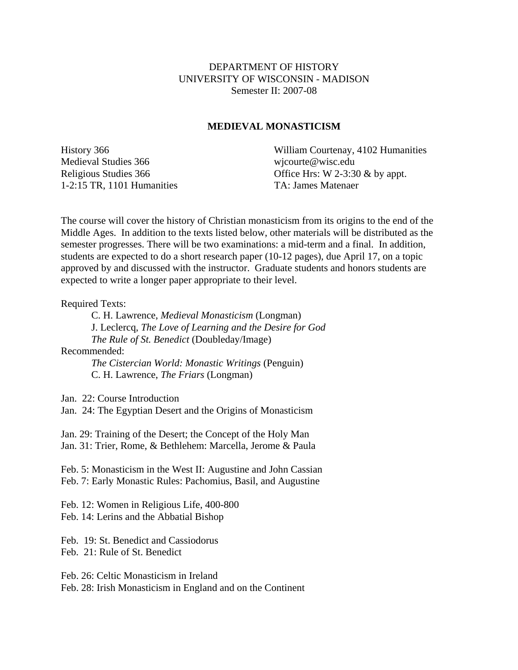## DEPARTMENT OF HISTORY UNIVERSITY OF WISCONSIN - MADISON Semester II: 2007-08

## **MEDIEVAL MONASTICISM**

Medieval Studies 366 wicourte@wisc.edu 1-2:15 TR, 1101 Humanities TA: James Matenaer

History 366 William Courtenay, 4102 Humanities Religious Studies 366 Office Hrs: W 2-3:30 & by appt.

The course will cover the history of Christian monasticism from its origins to the end of the Middle Ages. In addition to the texts listed below, other materials will be distributed as the semester progresses. There will be two examinations: a mid-term and a final. In addition, students are expected to do a short research paper (10-12 pages), due April 17, on a topic approved by and discussed with the instructor. Graduate students and honors students are expected to write a longer paper appropriate to their level.

Required Texts:

 C. H. Lawrence, *Medieval Monasticism* (Longman) J. Leclercq, *The Love of Learning and the Desire for God The Rule of St. Benedict* (Doubleday/Image) Recommended:

> *The Cistercian World: Monastic Writings* (Penguin) C. H. Lawrence, *The Friars* (Longman)

Jan. 22: Course Introduction

Jan. 24: The Egyptian Desert and the Origins of Monasticism

Jan. 29: Training of the Desert; the Concept of the Holy Man Jan. 31: Trier, Rome, & Bethlehem: Marcella, Jerome & Paula

Feb. 5: Monasticism in the West II: Augustine and John Cassian Feb. 7: Early Monastic Rules: Pachomius, Basil, and Augustine

Feb. 12: Women in Religious Life, 400-800 Feb. 14: Lerins and the Abbatial Bishop

Feb. 19: St. Benedict and Cassiodorus

Feb. 21: Rule of St. Benedict

Feb. 26: Celtic Monasticism in Ireland

Feb. 28: Irish Monasticism in England and on the Continent